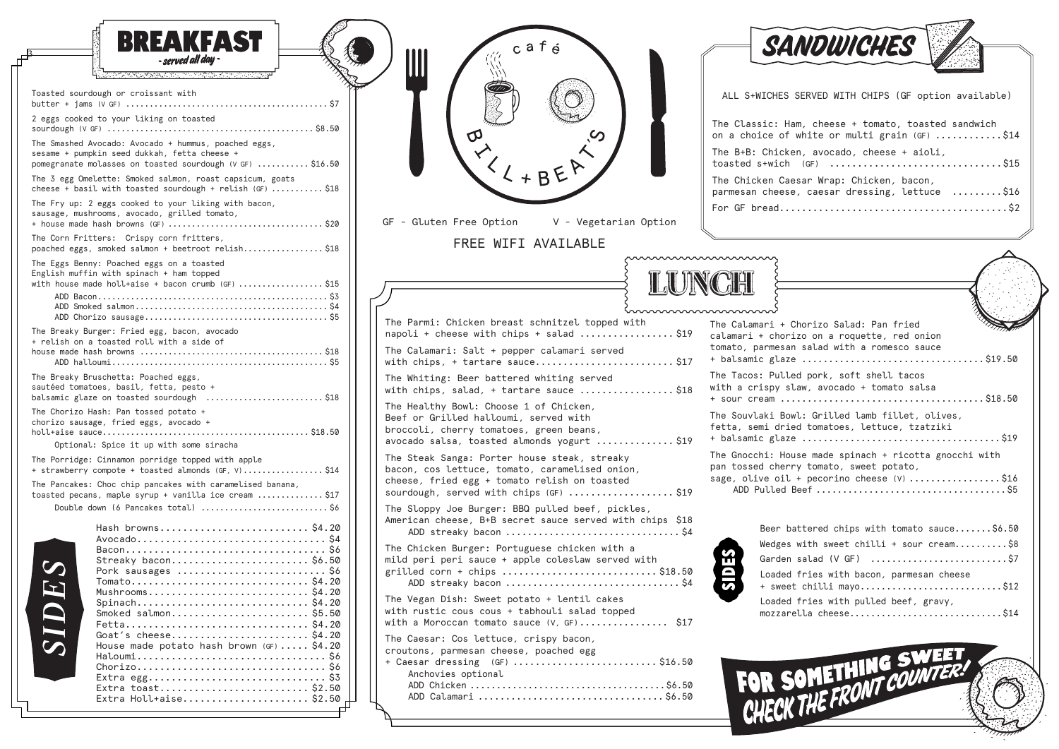